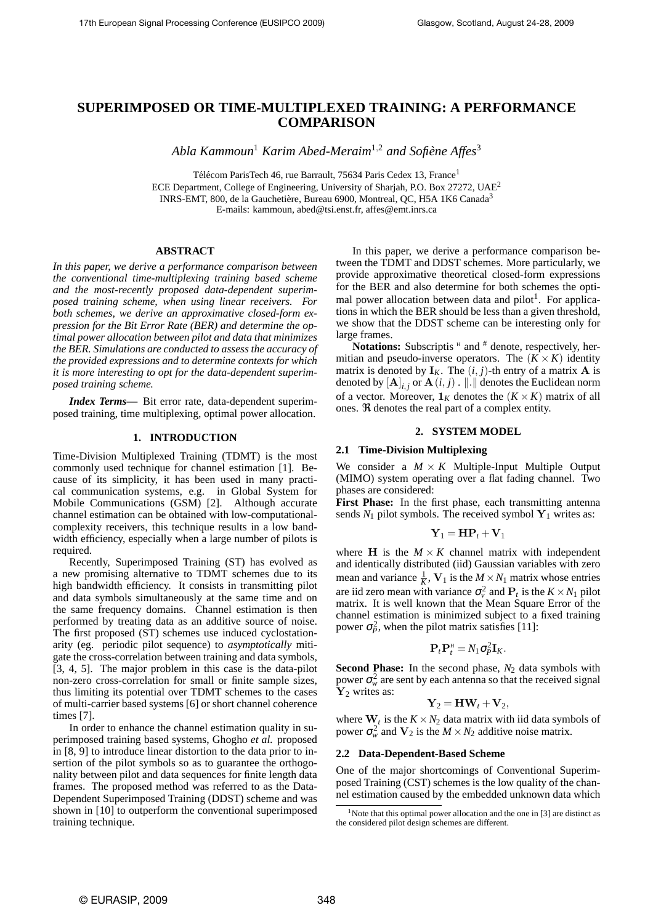# **SUPERIMPOSED OR TIME-MULTIPLEXED TRAINING: A PERFORMANCE COMPARISON**

*Abla Kammoun*<sup>1</sup> *Karim Abed-Meraim*<sup>1</sup>,<sup>2</sup> *and Sofiene Affes `* 3

Télécom ParisTech 46, rue Barrault, 75634 Paris Cedex 13, France<sup>1</sup> ECE Department, College of Engineering, University of Sharjah, P.O. Box 27272, UAE<sup>2</sup> INRS-EMT, 800, de la Gauchetière, Bureau 6900, Montreal, QC, H5A 1K6 Canada<sup>3</sup> E-mails: kammoun, abed@tsi.enst.fr, affes@emt.inrs.ca

## **ABSTRACT**

*In this paper, we derive a performance comparison between the conventional time-multiplexing training based scheme and the most-recently proposed data-dependent superimposed training scheme, when using linear receivers. For both schemes, we derive an approximative closed-form expression for the Bit Error Rate (BER) and determine the optimal power allocation between pilot and data that minimizes the BER. Simulations are conducted to assess the accuracy of the provided expressions and to determine contexts for which it is more interesting to opt for the data-dependent superimposed training scheme.*

*Index Terms***—** Bit error rate, data-dependent superimposed training, time multiplexing, optimal power allocation.

## **1. INTRODUCTION**

Time-Division Multiplexed Training (TDMT) is the most commonly used technique for channel estimation [1]. Because of its simplicity, it has been used in many practical communication systems, e.g. in Global System for Mobile Communications (GSM) [2]. Although accurate channel estimation can be obtained with low-computationalcomplexity receivers, this technique results in a low bandwidth efficiency, especially when a large number of pilots is required.

Recently, Superimposed Training (ST) has evolved as a new promising alternative to TDMT schemes due to its high bandwidth efficiency. It consists in transmitting pilot and data symbols simultaneously at the same time and on the same frequency domains. Channel estimation is then performed by treating data as an additive source of noise. The first proposed (ST) schemes use induced cyclostationarity (eg. periodic pilot sequence) to *asymptotically* mitigate the cross-correlation between training and data symbols, [3, 4, 5]. The major problem in this case is the data-pilot non-zero cross-correlation for small or finite sample sizes, thus limiting its potential over TDMT schemes to the cases of multi-carrier based systems [6] or short channel coherence times [7].

In order to enhance the channel estimation quality in superimposed training based systems, Ghogho *et al.* proposed in [8, 9] to introduce linear distortion to the data prior to insertion of the pilot symbols so as to guarantee the orthogonality between pilot and data sequences for finite length data frames. The proposed method was referred to as the Data-Dependent Superimposed Training (DDST) scheme and was shown in [10] to outperform the conventional superimposed training technique.

In this paper, we derive a performance comparison between the TDMT and DDST schemes. More particularly, we provide approximative theoretical closed-form expressions for the BER and also determine for both schemes the optimal power allocation between data and pilot<sup>1</sup>. For applications in which the BER should be less than a given threshold, we show that the DDST scheme can be interesting only for large frames.

Notations: Subscriptis <sup>H</sup> and <sup>#</sup> denote, respectively, hermitian and pseudo-inverse operators. The  $(K \times K)$  identity matrix is denoted by  $I_K$ . The  $(i, j)$ -th entry of a matrix **A** is denoted by  $[\mathbf{A}]_{i,j}$  or  $\mathbf{A}(i,j)$  .  $\|\dot{\cdot}\|$  denotes the Euclidean norm of a vector. Moreover,  $1_K$  denotes the  $(K \times K)$  matrix of all ones. ℜ denotes the real part of a complex entity.

## **2. SYSTEM MODEL**

## **2.1 Time-Division Multiplexing**

We consider a  $M \times K$  Multiple-Input Multiple Output (MIMO) system operating over a flat fading channel. Two phases are considered:

**First Phase:** In the first phase, each transmitting antenna sends  $N_1$  pilot symbols. The received symbol  $Y_1$  writes as:

$$
\mathbf{Y}_1 = \mathbf{H} \mathbf{P}_t + \mathbf{V}_1
$$

where **H** is the  $M \times K$  channel matrix with independent and identically distributed (iid) Gaussian variables with zero mean and variance  $\frac{1}{K}$ ,  $V_1$  is the  $M \times N_1$  matrix whose entries are iid zero mean with variance  $\sigma_v^2$  and  $P_t$  is the  $K \times N_1$  pilot matrix. It is well known that the Mean Square Error of the channel estimation is minimized subject to a fixed training power  $\sigma_p^2$ , when the pilot matrix satisfies [11]:

$$
\mathbf{P}_t \mathbf{P}_t^{\mathrm{H}} = N_1 \sigma_P^2 \mathbf{I}_K.
$$

**Second Phase:** In the second phase,  $N_2$  data symbols with power  $\sigma_w^2$  are sent by each antenna so that the received signal  $Y_2$  writes as:

$$
\mathbf{Y}_2 = \mathbf{H}\mathbf{W}_t + \mathbf{V}_2,
$$

where  $\mathbf{W}_t$  is the  $K \times N_2$  data matrix with iid data symbols of power  $\sigma_w^2$  and  $V_2$  is the  $M \times N_2$  additive noise matrix.

#### **2.2 Data-Dependent-Based Scheme**

One of the major shortcomings of Conventional Superimposed Training (CST) schemes is the low quality of the channel estimation caused by the embedded unknown data which

<sup>&</sup>lt;sup>1</sup>Note that this optimal power allocation and the one in [3] are distinct as the considered pilot design schemes are different.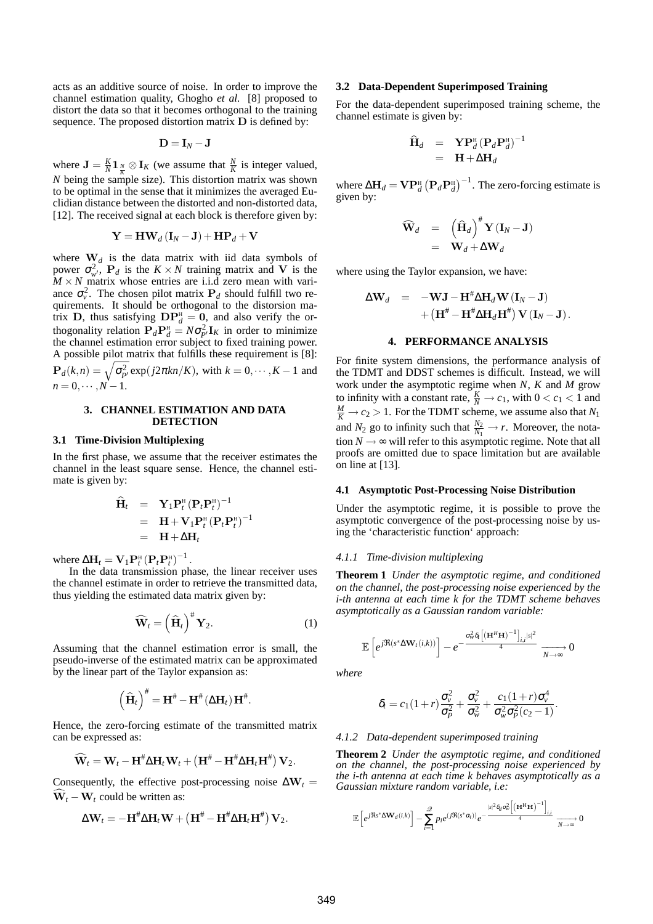acts as an additive source of noise. In order to improve the channel estimation quality, Ghogho *et al.* [8] proposed to distort the data so that it becomes orthogonal to the training sequence. The proposed distortion matrix D is defined by:

$$
\mathbf{D}=\mathbf{I}_N-\mathbf{J}
$$

where  $\mathbf{J} = \frac{K}{N} \mathbf{1}_N \otimes \mathbf{I}_K$  (we assume that  $\frac{N}{K}$  is integer valued, *N* being the sample size). This distortion matrix was shown to be optimal in the sense that it minimizes the averaged Euclidian distance between the distorted and non-distorted data, [12]. The received signal at each block is therefore given by:

$$
\mathbf{Y} = \mathbf{H}\mathbf{W}_d\left(\mathbf{I}_N - \mathbf{J}\right) + \mathbf{H}\mathbf{P}_d + \mathbf{V}
$$

where  $W_d$  is the data matrix with iid data symbols of power  $\sigma_{w'}^2$ ,  $P_d$  is the  $K \times N$  training matrix and V is the  $M \times N$  matrix whose entries are i.i.d zero mean with variance  $\sigma_v^2$ . The chosen pilot matrix  $P_d$  should fulfill two requirements. It should be orthogonal to the distorsion matrix **D**, thus satisfying  $\mathbf{DP}_{d}^{H} = \mathbf{0}$ , and also verify the orthogonality relation  $P_d P_d^H = N \sigma_p^2 I_K$  in order to minimize the channel estimation error subject to fixed training power. A possible pilot matrix that fulfills these requirement is [8]:  $P_d(k,n) = \sqrt{\sigma_{p'}^2} \exp(j2\pi kn/K)$ , with  $k = 0, \dots, K-1$  and  $n = 0, \cdots, N-1.$ 

#### **3. CHANNEL ESTIMATION AND DATA DETECTION**

## **3.1 Time-Division Multiplexing**

In the first phase, we assume that the receiver estimates the channel in the least square sense. Hence, the channel estimate is given by:

$$
\widehat{\mathbf{H}}_t = \mathbf{Y}_1 \mathbf{P}_t^{\mathrm{H}} (\mathbf{P}_t \mathbf{P}_t^{\mathrm{H}})^{-1}
$$
\n
$$
= \mathbf{H} + \mathbf{V}_1 \mathbf{P}_t^{\mathrm{H}} (\mathbf{P}_t \mathbf{P}_t^{\mathrm{H}})^{-1}
$$
\n
$$
= \mathbf{H} + \Delta \mathbf{H}_t
$$

where  $\Delta H_t = V_1 P_t^{\text{H}} (P_t P_t^{\text{H}})^{-1}$ .

In the data transmission phase, the linear receiver uses the channel estimate in order to retrieve the transmitted data, thus yielding the estimated data matrix given by:

$$
\widehat{\mathbf{W}}_t = \left(\widehat{\mathbf{H}}_t\right)^{\#} \mathbf{Y}_2. \tag{1}
$$

Assuming that the channel estimation error is small, the pseudo-inverse of the estimated matrix can be approximated by the linear part of the Taylor expansion as:

$$
\left(\widehat{\mathbf{H}}_t\right)^{\#} = \mathbf{H}^{\#} - \mathbf{H}^{\#}(\Delta \mathbf{H}_t) \mathbf{H}^{\#}.
$$

Hence, the zero-forcing estimate of the transmitted matrix can be expressed as:

$$
\widehat{\mathbf{W}}_t = \mathbf{W}_t - \mathbf{H}^{\#} \Delta \mathbf{H}_t \mathbf{W}_t + \left( \mathbf{H}^{\#} - \mathbf{H}^{\#} \Delta \mathbf{H}_t \mathbf{H}^{\#} \right) \mathbf{V}_2.
$$

Consequently, the effective post-processing noise  $\Delta W_t$  =  $\widehat{\mathbf{W}}_t - \mathbf{W}_t$  could be written as:

$$
\Delta \mathbf{W}_t = -\mathbf{H}^{\#} \Delta \mathbf{H}_t \mathbf{W} + \left(\mathbf{H}^{\#} - \mathbf{H}^{\#} \Delta \mathbf{H}_t \mathbf{H}^{\#}\right) \mathbf{V}_2.
$$

## **3.2 Data-Dependent Superimposed Training**

For the data-dependent superimposed training scheme, the channel estimate is given by:

$$
\widehat{\mathbf{H}}_d = \mathbf{Y} \mathbf{P}_d^{\mathrm{H}} (\mathbf{P}_d \mathbf{P}_d^{\mathrm{H}})^{-1} \n= \mathbf{H} + \Delta \mathbf{H}_d
$$

where  $\Delta H_d = \mathbf{V} \mathbf{P}_d^{\text{H}} \left( \mathbf{P}_d \mathbf{P}_d^{\text{H}} \right)^{-1}$ . The zero-forcing estimate is given by:

$$
\widehat{\mathbf{W}}_d = (\widehat{\mathbf{H}}_d)^{\#} \mathbf{Y} (\mathbf{I}_N - \mathbf{J})
$$
  
=  $\mathbf{W}_d + \Delta \mathbf{W}_d$ 

where using the Taylor expansion, we have:

$$
\Delta \mathbf{W}_d = -\mathbf{W} \mathbf{J} - \mathbf{H}^{\#} \Delta \mathbf{H}_d \mathbf{W} (\mathbf{I}_N - \mathbf{J}) + (\mathbf{H}^{\#} - \mathbf{H}^{\#} \Delta \mathbf{H}_d \mathbf{H}^{\#}) \mathbf{V} (\mathbf{I}_N - \mathbf{J}).
$$

## **4. PERFORMANCE ANALYSIS**

For finite system dimensions, the performance analysis of the TDMT and DDST schemes is difficult. Instead, we will work under the asymptotic regime when *N*, *K* and *M* grow to infinity with a constant rate,  $\frac{K}{N} \rightarrow c_1$ , with  $0 < c_1 < 1$  and  $\frac{M}{K}$   $\rightarrow$  *c*<sub>2</sub>  $>$  1. For the TDMT scheme, we assume also that *N*<sub>1</sub> and  $N_2$  go to infinity such that  $\frac{N_2}{N_1} \to r$ . Moreover, the notation  $N \rightarrow \infty$  will refer to this asymptotic regime. Note that all proofs are omitted due to space limitation but are available on line at [13].

#### **4.1 Asymptotic Post-Processing Noise Distribution**

Under the asymptotic regime, it is possible to prove the asymptotic convergence of the post-processing noise by using the 'characteristic function' approach:

## *4.1.1 Time-division multiplexing*

**Theorem 1** *Under the asymptotic regime, and conditioned on the channel, the post-processing noise experienced by the i-th antenna at each time k for the TDMT scheme behaves asymptotically as a Gaussian random variable:*

$$
\mathbb{E}\left[e^{j\Re(s^*\Delta\mathbf{W}_t(i,k))}\right] - e^{-\frac{\sigma_w^2\delta_t\left[\left(\mathbf{H}^H\mathbf{H}\right)^{-1}\right]_{i,i}|s|^2}{4}} \xrightarrow[N \to \infty]{} 0
$$

*where*

$$
\delta_t = c_1(1+r)\frac{\sigma_v^2}{\sigma_p^2} + \frac{\sigma_v^2}{\sigma_w^2} + \frac{c_1(1+r)\sigma_v^4}{\sigma_w^2\sigma_p^2(c_2-1)}
$$

.

## *4.1.2 Data-dependent superimposed training*

**Theorem 2** *Under the asymptotic regime, and conditioned on the channel, the post-processing noise experienced by the i-th antenna at each time k behaves asymptotically as a Gaussian mixture random variable, i.e:*

$$
\mathbb{E}\left[e^{j\Re s^*\Delta \mathbf{W}_d(i,k)}\right] - \sum_{i=1}^{\mathscr{Q}} p_i e^{(j\Re(s^*\alpha_i))}e^{-\frac{|s|^2\delta_d\sigma_w^2\left[\left(\mathbf{H}^\mathbf{H}\mathbf{H}\right)^{-1}\right]_{i,i}}{4}} \xrightarrow[N \to \infty]{} 0
$$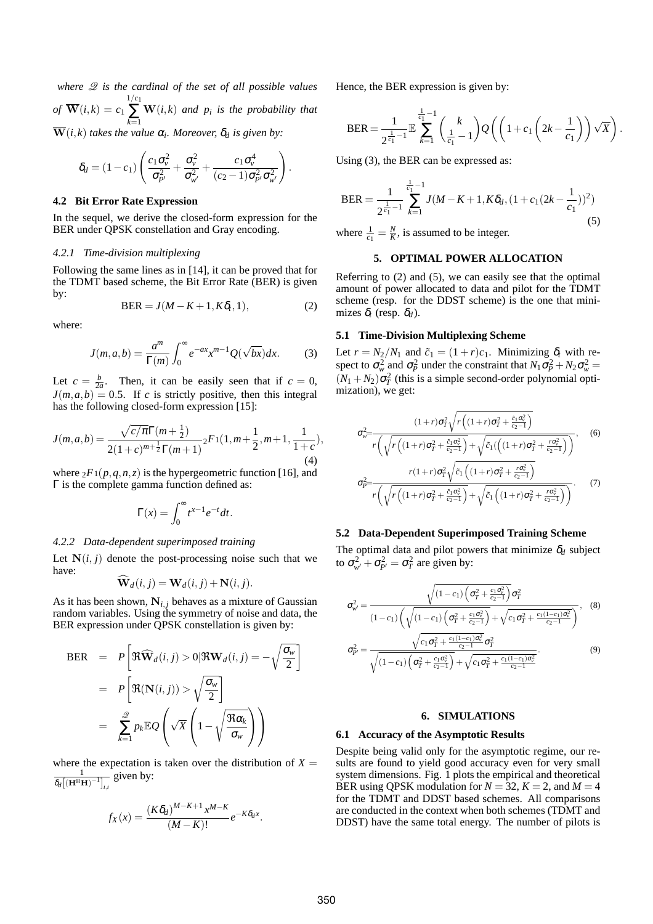*where* Q *is the cardinal of the set of all possible values*  $of \ \overline{\mathbf{W}}(i,k) = c_1 \sum^{1/c_1}$ ∑ *k*=1 W(*i*,*k*) *and p<sup>i</sup> is the probability that*  $\overline{\mathbf{W}}(i,k)$  *takes the value*  $\alpha_i$ *. Moreover,*  $\delta_d$  *is given by:* 

$$
\delta_d = (1 - c_1) \left( \frac{c_1 \sigma_v^2}{\sigma_{p'}^2} + \frac{\sigma_v^2}{\sigma_{w'}^2} + \frac{c_1 \sigma_v^4}{(c_2 - 1) \sigma_{p'}^2 \sigma_{w'}^2} \right).
$$

#### **4.2 Bit Error Rate Expression**

In the sequel, we derive the closed-form expression for the BER under QPSK constellation and Gray encoding.

## *4.2.1 Time-division multiplexing*

Following the same lines as in [14], it can be proved that for the TDMT based scheme, the Bit Error Rate (BER) is given by:

$$
BER = J(M - K + 1, K\delta_t, 1), \tag{2}
$$

where:

$$
J(m,a,b) = \frac{a^m}{\Gamma(m)} \int_0^\infty e^{-ax} x^{m-1} Q(\sqrt{bx}) dx.
$$
 (3)

Let  $c = \frac{b}{2a}$ . Then, it can be easily seen that if  $c = 0$ ,  $J(m, a, b) = 0.5$ . If *c* is strictly positive, then this integral has the following closed-form expression [15]:

$$
J(m,a,b) = \frac{\sqrt{c/\pi} \Gamma(m+\frac{1}{2})}{2(1+c)^{m+\frac{1}{2}} \Gamma(m+1)} {}_{2}F_{1}(1,m+\frac{1}{2},m+1,\frac{1}{1+c}),
$$
\n(4)

where  ${}_2F_1(p,q,n,z)$  is the hypergeometric function [16], and Γ is the complete gamma function defined as:

$$
\Gamma(x) = \int_0^\infty t^{x-1} e^{-t} dt.
$$

#### *4.2.2 Data-dependent superimposed training*

Let  $N(i, j)$  denote the post-processing noise such that we have:

$$
\widehat{\mathbf{W}}_d(i,j) = \mathbf{W}_d(i,j) + \mathbf{N}(i,j).
$$

As it has been shown,  $N_{i,j}$  behaves as a mixture of Gaussian random variables. Using the symmetry of noise and data, the BER expression under QPSK constellation is given by:

$$
BER = P\left[\mathfrak{R}\widehat{\mathbf{W}}_{d}(i,j) > 0 | \mathfrak{R}\mathbf{W}_{d}(i,j) = -\sqrt{\frac{\sigma_{w}}{2}}\right]
$$

$$
= P\left[\mathfrak{R}(\mathbf{N}(i,j)) > \sqrt{\frac{\sigma_{w}}{2}}\right]
$$

$$
= \sum_{k=1}^{\mathcal{D}} p_{k} \mathbb{E}Q\left(\sqrt{X}\left(1-\sqrt{\frac{\mathfrak{R}\alpha_{k}}{\sigma_{w}}}\right)\right)
$$

where the expectation is taken over the distribution of  $X =$ 1  $\delta_d\bigl[{{(\mathbf{H}^{\text{H}}\mathbf{H})}^{-1}}\bigr]_{i,i}$ given by:

$$
f_X(x) = \frac{(K\delta_d)^{M-K+1}x^{M-K}}{(M-K)!}e^{-K\delta_d x}.
$$

Hence, the BER expression is given by:

$$
\text{BER} = \frac{1}{2^{\frac{1}{c_1} - 1}} \mathbb{E} \sum_{k=1}^{\frac{1}{c_1} - 1} {k \choose \frac{1}{c_1} - 1} Q\left( \left( 1 + c_1 \left( 2k - \frac{1}{c_1} \right) \right) \sqrt{X} \right)
$$

.

Using (3), the BER can be expressed as:

$$
\text{BER} = \frac{1}{2^{\frac{1}{c_1}-1}} \sum_{k=1}^{\frac{1}{c_1}-1} J(M-K+1, K\delta_d, (1+c_1(2k-\frac{1}{c_1}))^2)
$$
\n(5)

where  $\frac{1}{c_1} = \frac{N}{K}$ , is assumed to be integer.

## **5. OPTIMAL POWER ALLOCATION**

Referring to (2) and (5), we can easily see that the optimal amount of power allocated to data and pilot for the TDMT scheme (resp. for the DDST scheme) is the one that minimizes  $\delta_t$  (resp.  $\delta_d$ ).

## **5.1 Time-Division Multiplexing Scheme**

Let  $r = N_2/N_1$  and  $\tilde{c}_1 = (1+r)c_1$ . Minimizing  $\delta_t$  with respect to  $\sigma_w^2$  and  $\sigma_P^2$  under the constraint that  $N_1 \sigma_P^2 + N_2 \sigma_w^2 =$  $(N_1 + N_2) \sigma_T^2$  (this is a simple second-order polynomial optimization), we get:

$$
\sigma_{w}^{2} = \frac{(1+r)\sigma_{T}^{2}\sqrt{r\left((1+r)\sigma_{T}^{2} + \frac{\tilde{c}_{1}\sigma_{Y}^{2}}{c_{2}-1}\right)}}{r\left(\sqrt{r\left((1+r)\sigma_{T}^{2} + \frac{\tilde{c}_{1}\sigma_{Y}^{2}}{c_{2}-1}\right)} + \sqrt{\tilde{c}_{1}\left(\left((1+r)\sigma_{T}^{2} + \frac{r\sigma_{Y}^{2}}{c_{2}-1}\right)\right)}},
$$
(6)  

$$
\sigma_{P}^{2} = \frac{r(1+r)\sigma_{T}^{2}\sqrt{\tilde{c}_{1}\left((1+r)\sigma_{T}^{2} + \frac{r\sigma_{Y}^{2}}{c_{2}-1}\right)}}{r\left(\sqrt{r\left((1+r)\sigma_{T}^{2} + \frac{\tilde{c}_{1}\sigma_{Y}^{2}}{c_{2}-1}\right)} + \sqrt{\tilde{c}_{1}\left((1+r)\sigma_{T}^{2} + \frac{r\sigma_{Y}^{2}}{c_{2}-1}\right)}},
$$
(7)

## **5.2 Data-Dependent Superimposed Training Scheme**

The optimal data and pilot powers that minimize  $\delta_d$  subject to  $\sigma_{w'}^2 + \sigma_{p'}^2 = \sigma_T^2$  are given by:

$$
\sigma_{w'}^2 = \frac{\sqrt{(1-c_1)\left(\sigma_T^2 + \frac{c_1\sigma_v^2}{c_2-1}\right)}\sigma_T^2}{(1-c_1)\left(\sqrt{(1-c_1)\left(\sigma_T^2 + \frac{c_1\sigma_v^2}{c_2-1}\right)} + \sqrt{c_1\sigma_T^2 + \frac{c_1(1-c_1)\sigma_v^2}{c_2-1}}\right)},
$$
(8)  

$$
\sigma_{P'}^2 = \frac{\sqrt{c_1\sigma_T^2 + \frac{c_1(1-c_1)\sigma_v^2}{c_2-1}}\sigma_T^2}{\sqrt{(1-c_1)\left(\sigma_T^2 + \frac{c_1\sigma_v^2}{c_2-1}\right)} + \sqrt{c_1\sigma_T^2 + \frac{c_1(1-c_1)\sigma_v^2}{c_2-1}}}.
$$
(9)

## **6. SIMULATIONS**

#### **6.1 Accuracy of the Asymptotic Results**

Despite being valid only for the asymptotic regime, our results are found to yield good accuracy even for very small system dimensions. Fig. 1 plots the empirical and theoretical BER using QPSK modulation for  $N = 32$ ,  $K = 2$ , and  $M = 4$ for the TDMT and DDST based schemes. All comparisons are conducted in the context when both schemes (TDMT and DDST) have the same total energy. The number of pilots is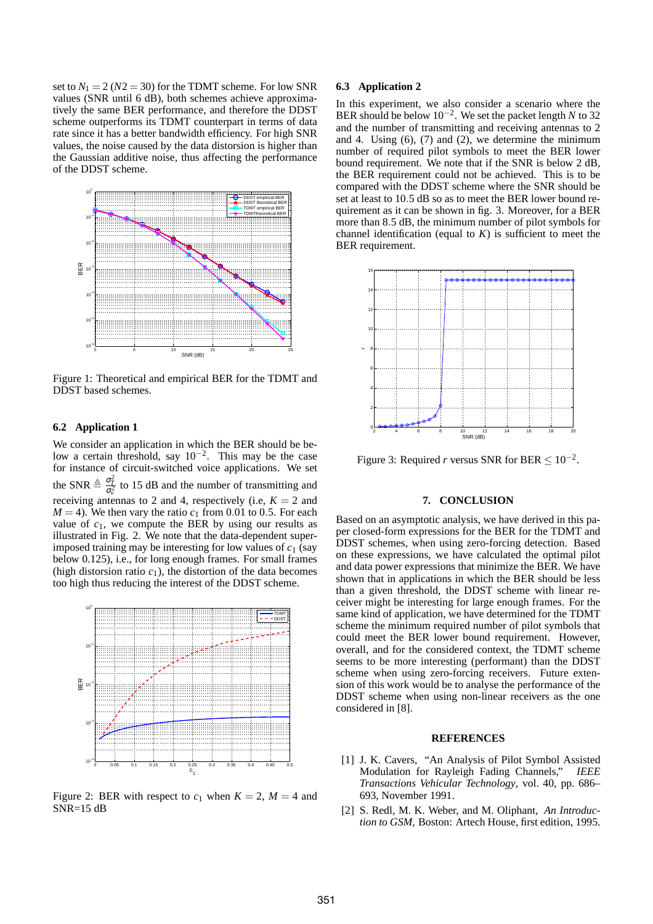set to  $N_1 = 2 (N2 = 30)$  for the TDMT scheme. For low SNR values (SNR until 6 dB), both schemes achieve approximatively the same BER performance, and therefore the DDST scheme outperforms its TDMT counterpart in terms of data rate since it has a better bandwidth efficiency. For high SNR values, the noise caused by the data distorsion is higher than the Gaussian additive noise, thus affecting the performance of the DDST scheme.



Figure 1: Theoretical and empirical BER for the TDMT and DDST based schemes.

## **6.2 Application 1**

We consider an application in which the BER should be below a certain threshold, say  $10^{-2}$ . This may be the case for instance of circuit-switched voice applications. We set the SNR  $\triangleq \frac{\sigma_T^2}{\sigma_z^2}$  to 15 dB and the number of transmitting and receiving antennas to 2 and 4, respectively (i.e,  $K = 2$  and  $M = 4$ ). We then vary the ratio  $c_1$  from 0.01 to 0.5. For each value of  $c_1$ , we compute the BER by using our results as illustrated in Fig. 2. We note that the data-dependent superimposed training may be interesting for low values of  $c_1$  (say below 0.125), i.e., for long enough frames. For small frames (high distorsion ratio  $c_1$ ), the distortion of the data becomes too high thus reducing the interest of the DDST scheme.



Figure 2: BER with respect to  $c_1$  when  $K = 2$ ,  $M = 4$  and SNR=15 dB

#### **6.3 Application 2**

In this experiment, we also consider a scenario where the BER should be below 10−<sup>2</sup> . We set the packet length *N* to 32 and the number of transmitting and receiving antennas to 2 and 4. Using  $(6)$ ,  $(7)$  and  $(2)$ , we determine the minimum number of required pilot symbols to meet the BER lower bound requirement. We note that if the SNR is below 2 dB, the BER requirement could not be achieved. This is to be compared with the DDST scheme where the SNR should be set at least to 10.5 dB so as to meet the BER lower bound requirement as it can be shown in fig. 3. Moreover, for a BER more than 8.5 dB, the minimum number of pilot symbols for channel identification (equal to  $K$ ) is sufficient to meet the BER requirement.



Figure 3: Required *r* versus SNR for BER  $\leq 10^{-2}$ .

## **7. CONCLUSION**

Based on an asymptotic analysis, we have derived in this paper closed-form expressions for the BER for the TDMT and DDST schemes, when using zero-forcing detection. Based on these expressions, we have calculated the optimal pilot and data power expressions that minimize the BER. We have shown that in applications in which the BER should be less than a given threshold, the DDST scheme with linear receiver might be interesting for large enough frames. For the same kind of application, we have determined for the TDMT scheme the minimum required number of pilot symbols that could meet the BER lower bound requirement. However, overall, and for the considered context, the TDMT scheme seems to be more interesting (performant) than the DDST scheme when using zero-forcing receivers. Future extension of this work would be to analyse the performance of the DDST scheme when using non-linear receivers as the one considered in [8].

#### **REFERENCES**

- [1] J. K. Cavers, "An Analysis of Pilot Symbol Assisted Modulation for Rayleigh Fading Channels," *IEEE Transactions Vehicular Technology*, vol. 40, pp. 686– 693, November 1991.
- [2] S. Redl, M. K. Weber, and M. Oliphant, *An Introduction to GSM*, Boston: Artech House, first edition, 1995.